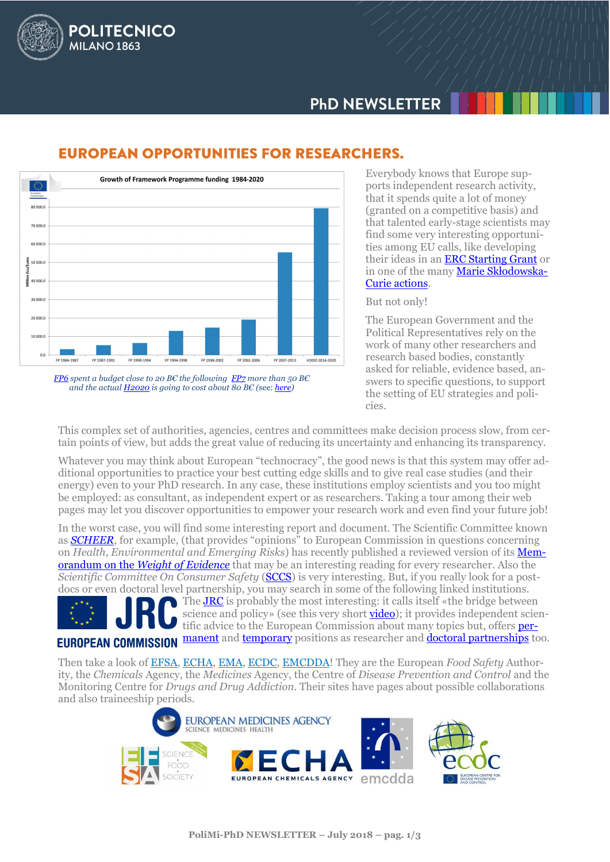

# **PHD NEWSLETTER**



## **EUROPEAN OPPORTUNITIES FOR RESEARCHERS.**

*[FP6](https://ec.europa.eu/research/reports/2009/pdf/fp6_evaluation_final_report_en.pdf) spent a budget close to 20 B€ the following [FP7](http://ec.europa.eu/research/evaluations/pdf/fp7_final_evaluation_expert_group_report.pdf) more than 50 B€ and the actual [H2020](https://ec.europa.eu/research/horizon2020/pdf/press/fact_sheet_on_horizon2020_budget.pdf) is going to cost about 80 B€ (*see: *[here\)](https://ec.europa.eu/research/horizon2020/pdf/press/fact_sheet_on_horizon2020_budget.pdf)*

Everybody knows that Europe supports independent research activity, that it spends quite a lot of money (granted on a competitive basis) and that talented early-stage scientists may find some very interesting opportunities among EU calls, like developing their ideas in an **ERC Starting Grant** or in one of the many [Marie Skło](https://ec.europa.eu/programmes/horizon2020/en/h2020-section/marie-sklodowska-curie-actions)dowska-[Curie actions.](https://ec.europa.eu/programmes/horizon2020/en/h2020-section/marie-sklodowska-curie-actions)

#### But not only!

The European Government and the Political Representatives rely on the work of many other researchers and research based bodies, constantly asked for reliable, evidence based, answers to specific questions, to support the setting of EU strategies and policies.

This complex set of authorities, agencies, centres and committees make decision process slow, from certain points of view, but adds the great value of reducing its uncertainty and enhancing its transparency.

Whatever you may think about European "technocracy", the good news is that this system may offer additional opportunities to practice your best cutting edge skills and to give real case studies (and their energy) even to your PhD research. In any case, these institutions employ scientists and you too might be employed: as consultant, as independent expert or as researchers. Taking a tour among their web pages may let you discover opportunities to empower your research work and even find your future job!

In the worst case, you will find some interesting report and document. The Scientific Committee known as *[SCHEER](https://ec.europa.eu/health/scientific_committees/scheer_en)*, for example, (that provides "opinions" to European Commission in questions concerning on *Health, Environmental and Emerging Risks*) has recently published a reviewed version of its [Mem](https://ec.europa.eu/health/sites/health/files/scientific_committees/scheer/docs/scheer_o_014.pdf)orandum on the *[Weight of Evidence](https://ec.europa.eu/health/sites/health/files/scientific_committees/scheer/docs/scheer_o_014.pdf)* that may be an interesting reading for every researcher. Also the *Scientific Committee On Consumer Safety* (**SCCS**) is very interesting. But, if you really look for a postdocs or even doctoral level partnership, you may search in some of the following linked institutions.

Th[e JRC](https://ec.europa.eu/jrc/en) is probably the most interesting: it calls itself «the bridge between science and policy» (see this very short **video**); it provides independent scientific advice to the European Commission about many topics but, offers [per-](https://ec.europa.eu/jrc/en/working-with-us/jobs/permanent-positions)**EUROPEAN COMMISSION** [manent](https://ec.europa.eu/jrc/en/working-with-us/jobs/permanent-positions) an[d temporary](https://ec.europa.eu/jrc/en/working-with-us/jobs/temporary-positions) positions as researcher and **doctoral partnerships** too.

Then take a look of [EFSA,](http://www.efsa.europa.eu/) [ECHA,](http://echa.europa.eu/home_en.asp) [EMA,](http://www.ema.europa.eu/ema/) [ECDC,](http://ecdc.europa.eu/en/Pages/home.aspx) [EMCDDA!](http://www.emcdda.europa.eu/) They are the European *Food Safety* Authority, the *Chemicals* Agency, the *Medicines* Agency, the Centre of *Disease Prevention and Control* and the Monitoring Centre for *Drugs and Drug Addiction*. Their sites have pages about possible collaborations and also traineeship periods.

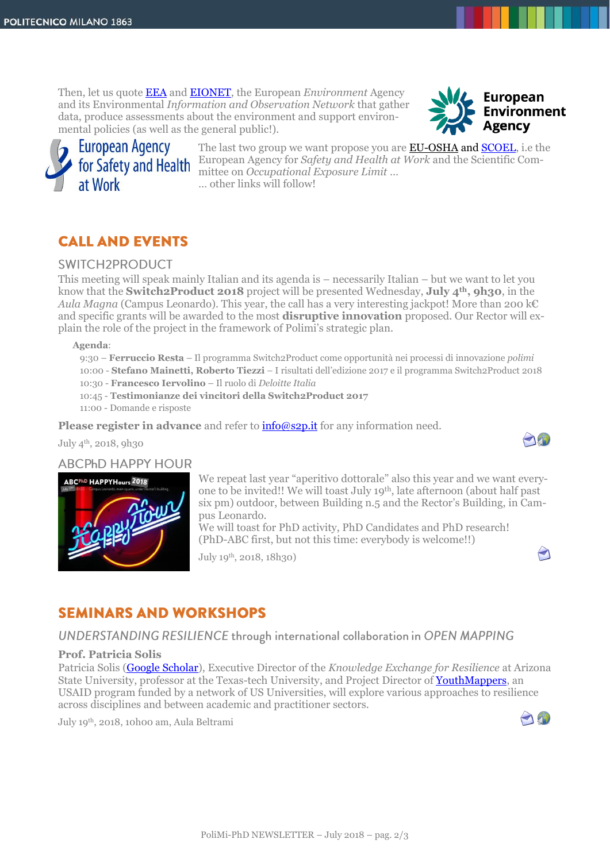Then, let us quote [EEA](https://www.eea.europa.eu/) and [EIONET,](https://www.eionet.europa.eu/) the European *Environment* Agency and its Environmental *Information and Observation Network* that gather data, produce assessments about the environment and support environmental policies (as well as the general public!).





The last two group we want propose you are **EU-OSHA and SCOEL**, i.e the European Agency for *Safety and Health at Work* and the Scientific Committee on *Occupational Exposure Limit* … … other links will follow!

## **CALL AND EVENTS**

### **SWITCH2PRODUCT**

This meeting will speak mainly Italian and its agenda is – necessarily Italian – but we want to let you know that the **Switch2Product 2018** project will be presented Wednesday, **July 4th, 9h30**, in the *Aula Magna* (Campus Leonardo). This year, the call has a very interesting jackpot! More than 200 k€ and specific grants will be awarded to the most **disruptive innovation** proposed. Our Rector will explain the role of the project in the framework of Polimi's strategic plan.

**Agenda**:

9:30 – **Ferruccio Resta** – Il programma Switch2Product come opportunità nei processi di innovazione *polimi* 10:00 - **Stefano Mainetti, Roberto Tiezzi** – I risultati dell'edizione 2017 e il programma Switch2Product 2018 10:30 - **Francesco Iervolino** – Il ruolo di *Deloitte Italia* 10:45 - **Testimonianze dei vincitori della Switch2Product 2017** 11:00 - Domande e risposte

**Please register in advance** and refer to **info@s2p.it** for any information need.

July 4th, 2018, 9h30

### **ABCPhD HAPPY HOUR**



We repeat last year "aperitivo dottorale" also this year and we want everyone to be invited!! We will toast July 19th, late afternoon (about half past six pm) outdoor, between Building n.5 and the Rector's Building, in Campus Leonardo.

We will toast for PhD activity, PhD Candidates and PhD research! (PhD-ABC first, but not this time: everybody is welcome!!)

July 19th, 2018, 18h30)



And

## **SEMINARS AND WORKSHOPS**

### UNDERSTANDING RESILIENCE through international collaboration in OPEN MAPPING

#### **Prof. Patricia Solis**

Patricia Solis [\(Google Scholar\)](https://scholar.google.com/citations?user=MfBGcTIAAAAJ&hl=en), Executive Director of the *Knowledge Exchange for Resilience* at Arizona State University, professor at the Texas-tech University, and Project Director of [YouthMappers,](http://www.youthmappers.org/about-us) an USAID program funded by a network of US Universities, will explore various approaches to resilience across disciplines and between academic and practitioner sectors.

July 19th, 2018, 10h00 am, Aula Beltrami